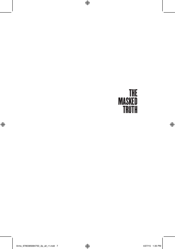## THE MASKED TRUTH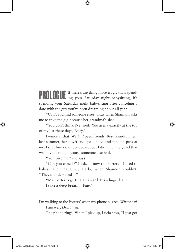**PROLOGUE** If there's anything more tragic than spend-<br>**PROLOGUE** ing your Saturday night babysitting, it's spending your Saturday night babysitting after canceling a date with the guy you've been dreaming about all year.

"Can't you find someone else?" I say when Shannon asks me to take the gig because her grandma's sick.

"You don't think I've tried? You aren't exactly at the top of my list these days, Riley."

I wince at that. We *had* been friends. Best friends. Then, last summer, her boyfriend got loaded and made a pass at me. I shut him down, of course, but I didn't tell her, and that was my mistake, because someone else had.

"You owe me," she says.

"Can you cancel?" I ask. I know the Porters—I used to babysit their daughter, Darla, when Shannon couldn't. "They'd understand—"

"Mr. Porter is getting an award. It's a huge deal." I take a deep breath. "Fine."

I'm walking to the Porters' when my phone buzzes. *Where r u?* I answer, *Don't ask.*

The phone rings. When I pick up, Lucia says, "I just got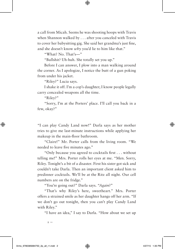a call from Micah. Seems he was shooting hoops with Travis when Shannon walked by . . . after you canceled with Travis to cover her babysitting gig. She said her grandma's just fine, and she doesn't know *why* you'd lie to him like that."

"What? No. That's—"

"Bullshit? Uh-huh. She totally set you up."

Before I can answer, I plow into a man walking around the corner. As I apologize, I notice the butt of a gun poking from under his jacket.

"Riley?" Lucia says.

I shake it off. I'm a cop's daughter; I know people legally carry concealed weapons all the time.

"Riley?"

"Sorry, I'm at the Porters' place. I'll call you back in a few, okay?"

"I can play Candy Land now!" Darla says as her mother tries to give me last-minute instructions while applying her makeup in the main-floor bathroom.

"Claire!" Mr. Porter calls from the living room. "We needed to leave five minutes ago."

"Only because you agreed to cocktails first . . . without telling me!" Mrs. Porter rolls her eyes at me. "Men. Sorry, Riley. Tonight's a bit of a disaster. First his sister got sick and couldn't take Darla. Then an important client asked him to predinner cocktails. We'll be at the Ritz all night. Our cell numbers are on the fridge."

"You're going out?" Darla says. "*Again*?"

"That's why Riley's here, sweetheart." Mrs. Porter offers a strained smile as her daughter hangs off her arm. "If we don't go out tonight, then you can't play Candy Land with Riley."

"I have an idea," I say to Darla. "How about we set up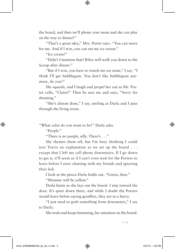the board, and then we'll phone your mom and she can play on the way to dinner?"

"That's a great idea," Mrs. Porter says. "You can move for me. And if I win, you can eat my ice cream."

"Ice cream?"

"Didn't I mention that? Riley will walk you down to the Scoop after dinner."

"But if I win, you have to watch me eat mine," I say. "I think I'll get bubblegum. You don't like bubblegum anymore, do you?"

She squeals, and I laugh and propel her out as Mr. Porter calls, "Claire!" Then he sees me and says, "Sorry for shouting."

"She's almost done," I say, smiling as Darla and I pass through the living room.

"What color do you want to be?" Darla asks.

"Purple."

"There is no purple, silly. There's . . ."

She rhymes them off, but I'm busy thinking I could text Travis an explanation as we set up the board . . . except that I left my cell phone downstairs. If I go down to get it, it'll seem as if I can't even wait for the Porters to leave before I start chatting with my friends and ignoring their kid.

I look at the pieces Darla holds out. "Green, then."

"Mommy will be yellow."

Darla hums as she lays out the board. I step toward the door. It's quiet down there, and while I doubt the Porters would leave before saying goodbye, they *are* in a hurry.

"I just need to grab something from downstairs," I say to Darla.

She nods and keeps humming, her attention on the board.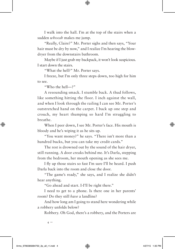I walk into the hall. I'm at the top of the stairs when a sudden *whoosh* makes me jump.

"Really, Claire?" Mr. Porter sighs and then says, "Your hair must be dry by now," and I realize I'm hearing the blowdryer from the downstairs bathroom.

Maybe if I just grab my backpack, it won't look suspicious. I start down the stairs.

"What the hell?" Mr. Porter says.

I freeze, but I'm only three steps down, too high for him to see.

"Who the hell—?"

A resounding smack. I stumble back. A thud follows, like something hitting the floor. I inch against the wall, and when I look through the railing I can see Mr. Porter's outstretched hand on the carpet. I back up one step and crouch, my heart thumping so hard I'm struggling to breathe.

When I peer down, I see Mr. Porter's face. His mouth is bloody and he's wiping it as he sits up.

"You want money?" he says. "There isn't more than a hundred bucks, but you can take my credit cards."

The rest is drowned out by the sound of the hair dryer, still running. A door creaks behind me. It's Darla, stepping from the bedroom, her mouth opening as she sees me.

I fly up those stairs so fast I'm sure I'll be heard. I push Darla back into the room and close the door.

"The game's ready," she says, and I realize she didn't hear anything.

"Go ahead and start. I-I'll be right there."

I need to get to a phone. Is there one in her parents' room? Do they still *have* a landline?

And how long am I going to stand here wondering while a robbery unfolds below?

Robbery. Oh God, there's a robbery, and the Porters are

 $4 -$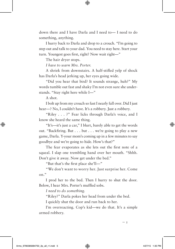down there and I have Darla and I need to— I need to do something, anything.

I hurry back to Darla and drop to a crouch. "I'm going to step out and talk to your dad. You need to stay here. Start your turn. Youngest goes first, right? Now wait right—"

The hair dryer stops.

*I have to warn Mrs. Porter.*

A shriek from downstairs. A half-stifled yelp of shock has Darla's head jerking up, her eyes going wide.

"Did you hear that bird? It sounds strange, huh?" My words tumble out fast and shaky I'm not even sure she understands. "Stay right here while I—"

A shot.

I bolt up from my crouch so fast I nearly fall over. Did I just hear-? No, I couldn't have. It's a robbery. Just a robbery.

"Riley . . . ?" Fear licks through Darla's voice, and I know she heard the same thing.

"It's—it's just a car," I blurt, barely able to get the words out. "Backfiring. But . . . but . . . we're going to play a new game, Darla. Y-your mom's coming up in a few minutes to say goodbye and we're going to hide. How's that?"

The fear evaporates as she lets out the first note of a squeal. I slap one trembling hand over her mouth. "Shhh. Don't give it away. Now get under the bed."

"But that's the first place she'll—"

"We don't want to worry her. Just surprise her. Come on."

I prod her to the bed. Then I hurry to shut the door. Below, I hear Mrs. Porter's muffled sobs.

*I need to do something.* 

"Riley?" Darla pokes her head from under the bed.

I quickly shut the door and run back to her.

I'm overreacting. Cop's kid—we do that. It's a simple armed robbery.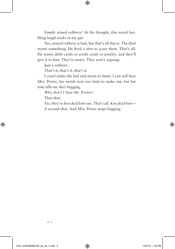*Simple* armed robbery? At the thought, this weird burbling laugh sticks in my gut.

Yes, armed robbery is bad, but that's all this is. The thief wants something. He fired a shot to scare them. That's all. He wants debit cards or credit cards or jewelry, and they'll give it to him. They're smart. They aren't arguing.

Just a robbery.

*That's it, that's it, that's it.*

I crawl under the bed and strain to listen. I can still hear Mrs. Porter, her words now too faint to make out, but her tone tells me she's begging.

*Why don't I hear Mr. Porter?*

That shot.

*No, they've knocked him out. That's all. Knocked him—* A second shot. And Mrs. Porter stops begging.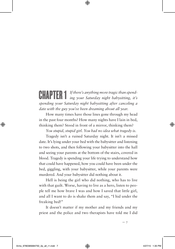CHAPTER 1 *If there's anything more tragic than spend-ing your Saturday night babysitting, it's spending your Saturday night babysitting after canceling a date with the guy you've been dreaming about all year.* 

How many times have those lines gone through my head in the past four months? How many nights have I lain in bed, thinking them? Stood in front of a mirror, thinking them?

*You stupid, stupid girl. You had no idea what tragedy is.*

Tragedy isn't a ruined Saturday night. It isn't a missed date. It's lying under your bed with the babysitter and listening to two shots, and then following your babysitter into the hall and seeing your parents at the bottom of the stairs, covered in blood. Tragedy is spending your life trying to understand how that could have happened, how you could have been under the bed, giggling, with your babysitter, while your parents were murdered. And your babysitter did nothing about it.

Hell is being the girl who did nothing, who has to live with that guilt. Worse, having to live as a hero, listen to people tell me how brave I was and how I saved that little girl, and all I want to do is shake them and say, "I hid under the freaking bed!"

It doesn't matter if my mother and my friends and my priest and the police and two therapists have told me I did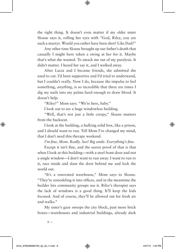the right thing. It doesn't even matter if my older sister Sloane says it, rolling her eyes with "God, Riley, you are such a martyr. Would you rather have been shot? Like Dad?"

Any other time Sloane brought up our father's death that casually I might have taken a swing at her for it. Maybe that's what she wanted. To smack me out of my paralysis. It didn't matter. I heard her say it, and I walked away.

After Lucia and I became friends, she admitted she used to cut. I'd been supportive and I'd tried to understand, but I couldn't really. Now I do, because the impulse to feel something, *anything*, is so incredible that there are times I dig my nails into my palms hard enough to draw blood. It doesn't help.

"Riley?" Mom says. "We're here, baby."

I look out to see a huge windowless building.

"Well, that's not just a little creepy," Sloane mutters from the backseat.

I look at the building, a hulking solid box, like a prison, and I should want to run. Tell Mom I've changed my mind, that I don't need this therapy weekend.

*I'm fine, Mom. Really. See? Big smile. Everything's fine.*

Except it isn't fine, and the surest proof of that is that when I look at this building—with a steel front door and not a single window—I don't want to run away. I want to run *to* it, race inside and slam the door behind me and lock the world out.

"It's a renovated warehouse," Mom says to Sloane. "They're remodeling it into offices, and in the meantime the builder lets community groups use it. Riley's therapist says the lack of windows is a good thing. It'll keep the kids focused. And of course, they'll be allowed out for fresh air and walks."

My sister's gaze sweeps the city block, past more brick boxes—warehouses and industrial buildings, already dark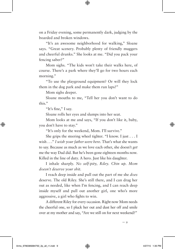on a Friday evening, some permanently dark, judging by the boarded and broken windows.

"It's an awesome neighborhood for walking," Sloane says. "Great scenery. Probably plenty of friendly muggers and cheerful drunks." She looks at me. "Did you pack your fencing saber?"

Mom sighs. "The kids won't take their walks here, of course. There's a park where they'll go for two hours each morning."

"To use the playground equipment? Or will they lock them in the dog park and make them run laps?"

Mom sighs deeper.

Sloane mouths to me, "Tell her you don't want to do this."

"It's fine," I say.

Sloane rolls her eyes and slumps into her seat.

Mom looks at me and says, "If you don't like it, baby, you don't have to stay."

"It's only for the weekend, Mom. I'll survive."

She grips the steering wheel tighter. "I know. I just . . . I wish . . ." *I wish your father were here.* That's what she wants to say. Because as much as we love each other, she doesn't *get* me the way Dad did. But he's been gone eighteen months now. Killed in the line of duty. A hero. Just like his daughter.

I inhale sharply. *No self-pity, Riley. Chin up. Mom doesn't deserve your shit.*

I reach deep inside and pull out the part of me she *does* deserve. The old Riley. She's still there, and I can drag her out as needed, like when I'm fencing, and I can reach deep inside myself and pull out another girl, one who's more aggressive, a girl who fights to win.

A different Riley for every occasion. Right now Mom needs the cheerful one, so I pluck her out and dust her off and smile over at my mother and say, "Are we still on for next weekend?"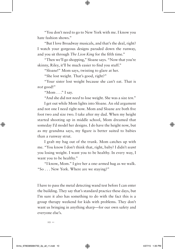"You don't need to go to New York with me. I know you hate fashion shows."

"But I love Broadway musicals, and that's the deal, right? I watch your gorgeous designs paraded down the runway, and you sit through *The Lion King* for the fifth time."

"Then we'll go shopping," Sloane says. "Now that you're skinny, Riley, it'll be much easier to find you stuff."

"Sloane!" Mom says, twisting to glare at her.

"She lost weight. That's good, right?"

"Your sister lost weight because she can't eat. That is *not* good!"

"Mom . . ." I say.

"And she did not *need* to lose weight. She was a size *ten*."

I get out while Mom lights into Sloane. An old argument and not one I need right now. Mom and Sloane are both five foot two and size two. I take after my dad. When my height started shooting up in middle school, Mom dreamed that someday I'd model her designs. I do have the height now, but as my grandma says, my figure is better suited to babies than a runway strut.

I grab my bag out of the trunk. Mom catches up with me. "You know I don't think that, right, baby? I didn't *want* you losing weight. I want you to be healthy. In every way, I want you to be healthy."

"I know, Mom." I give her a one-armed hug as we walk. "So . . . New York. Where are we staying?"

I have to pass the metal detecting wand test before I can enter the building. They say that's standard practice these days, but I'm sure it also has something to do with the fact this is a group therapy weekend for kids with problems. They don't want us bringing in anything sharp—for our own safety and everyone else's.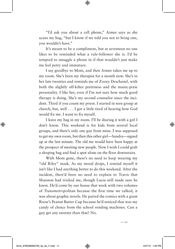"I'd ask you about a cell phone," Aimee says as she scans my bag, "but I know if we told you not to bring one, you wouldn't have."

It's meant to be a compliment, but at seventeen no one likes to be reminded what a rule-follower she is. I'd be tempted to smuggle a phone in if that wouldn't just make me feel petty and immature.

I say goodbye to Mom, and then Aimee takes me up to my room. She's been my therapist for a month now. She's in her late twenties and reminds me of Zooey Deschanel, with both the slightly off-kilter prettiness and the manic-pixie personality. I like her, even if I'm not sure how much good therapy is doing. She's my second counselor since the incident. Third if you count my priest. I started in teen group at church, but, well . . . I got a little tired of hearing how God would fix me. I want to fix myself.

I leave my bag in my room. I'll be sharing it with a girl I don't know. This weekend is for kids from several local groups, and there's only one guy from mine. I was supposed to get my own room, but then this other girl—Sandra—signed up at the last minute. The old me would have been happy at the prospect of meeting new people. Now I wish I could grab a sleeping bag and find a spot alone on the floor downstairs.

With Mom gone, there's no need to keep wearing my "old Riley" mask. As my mood drops, I remind myself it isn't like I had anything better to do this weekend. After the incident, there'd been no need to explain to Travis that Shannon had tricked me, though Lucia still made sure he knew. He'd come by our house that week with two volumes of *Transmetropolitan* because the first time we talked, it was about graphic novels. He paired the comics with a giant Reese's Peanut Butter Cup because he'd noticed that was my candy of choice from the school vending machines. Can a guy get any sweeter than that? No.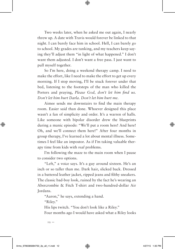Two weeks later, when he asked me out again, I nearly threw up. A date with Travis would forever be linked to that night. I can barely face him in school. Hell, I can barely *go* to school. My grades are tanking, and my teachers keep saying they'll adjust them "in light of what happened." I don't want them adjusted. I don't want a free pass. I just want to pull myself together.

So I'm here, doing a weekend therapy camp. I need to make the effort, like I need to make the effort to get up every morning. If I stop moving, I'll be stuck forever under that bed, listening to the footsteps of the man who killed the Porters and praying, *Please God, don't let him find us. Don't let him hurt Darla. Don't let him hurt me.*

Aimee sends me downstairs to find the main therapy room. Easier said than done. Whoever designed this place wasn't a fan of simplicity and order. It's a warren of halls. Like someone with bipolar disorder drew the blueprints during a manic episode: "We'll put a room here! And here! Oh, and we'll connect them here!" After four months in group therapy, I've learned a lot about mental illness. Sometimes I feel like an impostor. As if I'm taking valuable therapy time from kids with *real* problems.

I'm following the maze to the main room when I pause to consider two options.

"Left," a voice says. It's a guy around sixteen. He's an inch or so taller than me. Dark hair, slicked back. Dressed in a battered leather jacket, ripped jeans and filthy sneakers. The classic bad-boy look, ruined by the fact he's wearing an Abercrombie & Fitch T-shirt and two-hundred-dollar Air Jordans.

"Aaron," he says, extending a hand.

"Riley."

His lips twitch. "You don't look like a Riley."

Four months ago I would have asked what a Riley looks

 $12 -$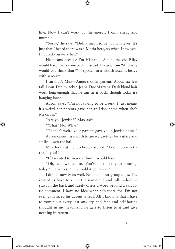like. Now I can't work up the energy. I only shrug and mumble.

"Sorry," he says. "Didn't mean to be . . . whatever. It's just that I heard there was a Maria here, so when I saw you, I figured you were her."

He means because I'm Hispanic. Again, the old Riley would have had a comeback. Instead, I hear one— "And why would you think that?" —spoken in a British accent, heavy with sarcasm.

I turn. It's Max—Aimee's other patient. About six feet tall. Lean. Denim jacket. Jeans. Doc Martens. Dark blond hair worn long enough that he can tie it back, though today it's hanging loose.

Aaron says, "I'm not trying to be a jerk. I just meant it's weird her parents gave her an Irish name when she's Mexican."

"Are you Jewish?" Max asks.

"What? No. Why?"

"Then it's weird your parents gave you a Jewish name."

Aaron opens his mouth to answer, settles for a glare and stalks down the hall.

Max looks at me, eyebrows arched. "I don't even get a thank-you?"

"If I wanted to snark at him, I would have."

"Oh, you wanted to. You've just lost your footing, Riley." He winks. "Or should it be Ril-ia?"

I don't know Max well. No one in our group does. The rest of us have to sit in the semicircle and talk, while he stays in the back and rarely offers a word beyond a sarcastic comment. I have no idea what he's there for. I'm not even convinced his accent is real. All I know is that I have to vomit out every last anxiety and fear and self-hating thought in my head, and he gets to listen to it and give nothing in return.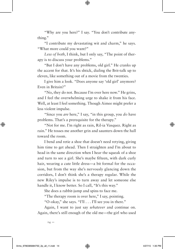"Why are you here?" I say. "You don't contribute anything."

"I contribute my devastating wit and charm," he says. "What more could you want?"

*Less of both*, I think, but I only say, "The point of therapy is to discuss your problems."

"But I don't have any problems, old girl." He cranks up the accent for that. It's his shtick, dialing the Brit-talk up to eleven, like something out of a movie from the twenties.

I give him a look. "Does anyone say 'old girl' anymore? Even in Britain?"

"No, they do not. Because I'm over here now." He grins, and I feel the overwhelming urge to shake it from his face. Well, at least I feel something. Though Aimee might prefer a less violent impulse.

"Since you *are* here," I say, "in this group, you *do* have problems. That's a prerequisite for the therapy."

"Not for me. I'm right as rain, Ril-ia Vasquez. Right as rain." He tosses me another grin and saunters down the hall toward the room.

I bend and retie a shoe that doesn't need retying, giving him time to get ahead. Then I straighten and I'm about to head in the same direction when I hear the squeak of a shoe and turn to see a girl. She's maybe fifteen, with dark curly hair, wearing a cute little dress—a bit formal for the occasion, but from the way she's nervously glancing down the corridors, I don't think she's a therapy regular. While the new Riley's impulse is to turn away and let someone else handle it, I know better. So I call, "It's this way."

She does a rabbit-jump and spins to face me.

"The therapy room is over here," I say, pointing.

"O-okay," she says. "I'll . . . I'll see you in there."

Again, I want to just say *whatever* and continue on. Again, there's still enough of the old me—the girl who used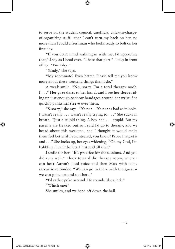to serve on the student council, unofficial chick-in-chargeof-organizing-stuff—that I can't turn my back on her, no more than I could a freshman who looks ready to bolt on her first day.

"If you don't mind walking in with me, I'd appreciate that," I say as I head over. "I hate that part." I stop in front of her. "I'm Riley."

"Sandy," she says.

"My roommate? Even better. Please tell me you know more about these weekend things than I do."

A weak smile. "No, sorry. I'm a total therapy noob. I . . ." Her gaze darts to her hand, and I see her sleeve riding up just enough to show bandages around her wrist. She quickly yanks her sleeve over them.

"S-sorry," she says. "It's not— It's not as bad as it looks. I wasn't really . . . wasn't really trying to . . ." She sucks in breath. "Just a stupid thing. A boy and . . . stupid. But my parents are freaked out so I said I'd go to therapy, and we heard about this weekend, and I thought it would make them feel better if I volunteered, you know? Prove I regret it and . . ." She looks up, her eyes widening. "Oh my God, I'm babbling. I can't believe I just said all that."

I smile for her. "It's practice for the sessions. And you did very well." I look toward the therapy room, where I can hear Aaron's loud voice and then Max with some sarcastic rejoinder. "We can go in there with the guys or we can poke around out here."

"I'd rather poke around. He sounds like a jerk."

"Which one?"

She smiles, and we head off down the hall.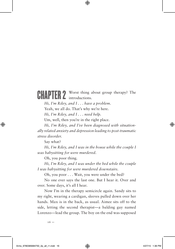**CHAPTER 2** Worst thing about group therapy? The

*Hi, I'm Riley, and I . . . have a problem.*

Yeah, we all do. That's why we're here.

*Hi, I'm Riley, and I . . . need help.*

Um, well, then you're in the right place.

*Hi, I'm Riley, and I've been diagnosed with situationally related anxiety and depression leading to post-traumatic stress disorder.*

Say what?

*Hi, I'm Riley, and I was in the house while the couple I was babysitting for were murdered.*

Oh, you poor thing.

*Hi, I'm Riley, and I was under the bed while the couple I was babysitting for were murdered downstairs.*

Oh, you poor . . . Wait, you were under the bed?

No one ever says the last one. But I hear it. Over and over. Some days, it's all I hear.

Now I'm in the therapy semicircle again. Sandy sits to my right, wearing a cardigan, sleeves pulled down over her hands. Max is in the back, as usual. Aimee sits off to the side, letting the second therapist—a balding guy named Lorenzo—lead the group. The boy on the end was supposed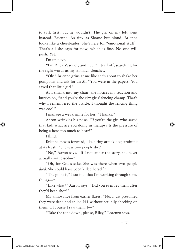to talk first, but he wouldn't. The girl on my left went instead. Brienne. As tiny as Sloane but blond, Brienne looks like a cheerleader. She's here for "emotional stuff." That's all she says for now, which is fine. No one will push. Yet.

I'm up next.

"I'm Riley Vasquez, and I . . ." I trail off, searching for the right words as my stomach clenches.

"Oh!" Brienne grins at me like she's about to shake her pompoms and ask for an *M*. "You were in the papers. You saved that little girl."

As I shrink into my chair, she notices my reaction and hurries on, "And you're the city girls' fencing champ. That's why I remembered the article. I thought the fencing thing was cool."

I manage a weak smile for her. "Thanks."

Aaron wrinkles his nose. "If you're the girl who saved that kid, what are you doing in therapy? Is the pressure of being a hero too much to bear?"

I flinch.

Brienne moves forward, like a tiny attack dog straining at its leash. "She saw two people die."

"No," Aaron says. "If I remember the story, she never actually witnessed—"

"Oh, for God's sake. She was there when two people *died*. She could have been killed herself."

"The point is," I cut in, "that I'm working through some things—"

"Like what?" Aaron says. "Did you even *see* them after they'd been shot?"

My annoyance from earlier flares. "No, I just presumed they were dead and called 911 without actually checking on them. Of course I saw them. I—"

"Take the tone down, please, Riley," Lorenzo says.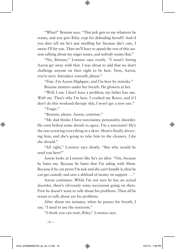"What?" Brienne says. "This jerk gets to say whatever he wants, and you give Riley crap for defending herself? And if you dare tell me he's just needling her because she's cute, I swear I'll hit you. Then we'll have to spend the rest of this session talking about my anger issues, and nobody wants that."

"No, Brienne," Lorenzo says evenly. "I wasn't letting Aaron get away with that. I was about to add that we don't challenge anyone on their right to be here. Now, Aaron, you're next. Introduce yourself, please."

"Fine. I'm Aaron Highgate, and I'm here by mistake." Brienne mutters under her breath. He glowers at her.

"Well, I am. I don't have a problem; my father has one. *With* me. That's why I'm here. I crashed my Rover, and if I don't do this weekend therapy shit, I won't get a new one."

"Tragic."

"Brienne, please. Aaron, continue."

"My dad thinks I have narcissistic personality disorder. He even bribed some shrink to agree. I'm a narcissist? He's the one screwing everything in a skirt. Mom's finally divorcing him, and she's going to take him to the cleaners. Like she should."

"All right," Lorenzo says slowly. "But why would he send you here?"

Aaron looks at Lorenzo like he's an idiot. "Um, because he hates me. Because he hates that I'm siding with Mom. Because if he can prove I'm sick and she can't handle it, then he can get custody and save a shitload of money on support . . ."

Aaron continues. While I'm not sure he has an actual disorder, there's obviously some narcissism going on there. First he doesn't want to talk about his problems. Then *all* he wants to talk about are his problems.

After about ten minutes, when he pauses for breath, I say, "I need to use the restroom."

"I think you can wait, Riley," Lorenzo says.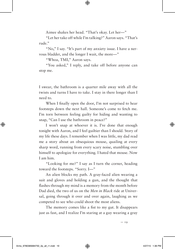Aimee shakes her head. "That's okay. Let her—"

"Let her take off while I'm talking?" Aaron says. "That's rude."

"No," I say. "It's part of my anxiety issue. I have a nervous bladder, and the longer I wait, the more—"

"Whoa, TMI," Aaron says.

"You asked," I reply, and take off before anyone can stop me.

I swear, the bathroom is a quarter mile away with all the twists and turns I have to take. I stay in there longer than I need to.

When I finally open the door, I'm not surprised to hear footsteps down the next hall. Someone's come to fetch me. I'm torn between feeling guilty for hiding and wanting to snap, "Can I use the bathroom in peace?"

I won't snap at whoever it is. I've done that enough tonight with Aaron, and I feel guiltier than I should. Story of my life these days. I remember when I was little, my dad read me a story about an obsequious mouse, quailing at every sharp word, running from every scary noise, stumbling over himself to apologize for everything. I hated that mouse. Now I am him.

"Looking for me?" I say as I turn the corner, heading toward the footsteps. "Sorry. I—"

An alien blocks my path. A gray-faced alien wearing a suit and gloves and holding a gun, and the thought that flashes through my mind is a memory from the month before Dad died, the two of us on the *Men in Black* ride at Universal, going through it over and over again, laughing as we competed to see who could shoot the most aliens.

The memory comes like a fist to my gut. It disappears just as fast, and I realize I'm staring at a guy wearing a gray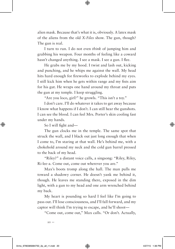alien mask. Because that's what it is, obviously. A latex mask of the aliens from the old *X-Files* show. The gun, though? The gun is real.

I turn to run. I do not even *think* of jumping him and grabbing his weapon. Four months of feeling like a coward hasn't changed anything. I see a mask. I see a gun. I flee.

He grabs me by my hood. I twist and lash out, kicking and punching, and he whips me against the wall. My head hits hard enough for fireworks to explode behind my eyes. I still kick him when he gets within range and my fists aim for his gut. He wraps one hand around my throat and puts the gun at my temple. I keep struggling.

"Are you loco, girl?" he growls. "This isn't a toy."

I don't care. I'll do whatever it takes to get away because I know what happens if I don't. I can still hear the gunshots. I can see the blood. I can feel Mrs. Porter's skin cooling fast under my hands.

So I will fight and—

The gun clocks me in the temple. The same spot that struck the wall, and I black out just long enough that when I come to, I'm staring at that wall. He's behind me, with a chokehold around my neck and the cold gun barrel pressed to the back of my head.

"Riley?" a distant voice calls, a singsong: "Riley, Riley, Ri-lee-a. Come out, come out wherever you are."

Max's boots tromp along the hall. The man pulls me toward a shadowy corner. He doesn't yank me behind it, though. He leaves me standing there, exposed in the dim light, with a gun to my head and one arm wrenched behind my back.

My heart is pounding so hard I feel like I'm going to pass out. I'll lose consciousness, and I'll fall forward, and my captor will think I'm trying to escape, and he'll shoot—

"Come out, come out," Max calls. "Or don't. Actually,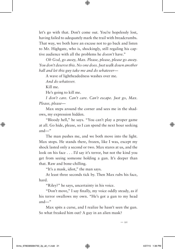let's go with that. Don't come out. You're hopelessly lost, having failed to adequately mark the trail with breadcrumbs. That way, we both have an excuse not to go back and listen to Mr. Highgate, who is, shockingly, still regaling his captive audience with all the problems he *doesn't* have."

*Oh God, go away, Max. Please, please, please go away. You don't deserve this. No one does. Just walk down another hall and let this guy take me and do whatever—*

A wave of lightheadedness washes over me.

*And do whatever.*

Kill me.

He's going to kill me.

*I don't care. Can't care. Can't escape. Just go, Max. Please, please—*

Max steps around the corner and sees me in the shadows, my expression hidden.

"Bloody hell," he says. "You can't play a proper game at all. Go hide, please, so I can spend the next hour seeking and—"

The man pushes me, and we both move into the light. Max stops. He stands there, frozen, like I was, except my shock lasted only a second or two. Max stares at us, and the look on his face . . . I'd say it's terror, but not the kind you get from seeing someone holding a gun. It's deeper than that. Raw and bone-chilling.

"It's a mask, idiot," the man says.

At least three seconds tick by. Then Max rubs his face, hard.

"Riley?" he says, uncertainty in his voice.

"Don't move," I say finally, my voice oddly steady, as if his terror swallows my own. "He's got a gun to my head and—"

Max spits a curse, and I realize he hasn't seen the gun. So what freaked him out? A guy in an alien mask?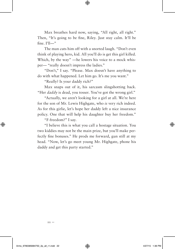Max breathes hard now, saying, "All right, all right." Then, "It's going to be fine, Riley. Just stay calm. It'll be fine. I'll—"

The man cuts him off with a snorted laugh. "Don't even think of playing hero, kid. All you'll do is get this girl killed. Which, by the way" —he lowers his voice to a mock whisper— "really doesn't impress the ladies."

"Don't," I say. "Please. Max doesn't have anything to do with what happened. Let him go. It's me you want."

"Really? Is your daddy rich?"

Max snaps out of it, his sarcasm slingshotting back. "Her *daddy* is dead, you tosser. You've got the wrong girl."

"Actually, we aren't looking for a girl at all. We're here for the son of Mr. Lewis Highgate, who *is* very rich indeed. As for this girlie, let's hope her daddy left a nice insurance policy. One that will help his daughter buy her freedom."

"F-freedom?" I say.

"I believe this is what you call a hostage situation. You two kiddies may not be the main prize, but you'll make perfectly fine bonuses." He prods me forward, gun still at my head. "Now, let's go meet young Mr. Highgate, phone his daddy and get this party started."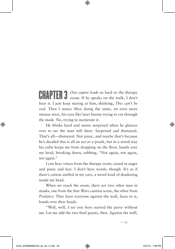CHAPTER 3 Our captor leads us back to the therapy<br> **CHAPTER 3** room. If he speaks on the walk, I don't hear it. I just keep staring at him, thinking, *This can't be real*. Then I notice Max doing the same, an even more intense stare, his eyes like laser beams trying to cut through the mask. No, trying to incinerate it.

He blinks hard and seems surprised when he glances over to see the man still there. Surprised and dismayed. That's all—dismayed. Not panic, and maybe that's because he's decided this is all an act or a prank, but in a weird way his calm keeps me from dropping on the floor, hands over my head, breaking down, sobbing, "Not again, not again, not again."

I can hear voices from the therapy room, raised in anger and panic and fear. I don't hear words, though. It's as if there's cotton stuffed in my ears, a weird kind of deadening inside my head.

When we reach the room, there are two other men in masks, one from the *Star Wars* cantina scene, the other from *Predator*. They have everyone against the wall, faces to it, hands over their heads.

"Well, well, I see you boys started the party without me. Let me add the two final guests, then. Against the wall,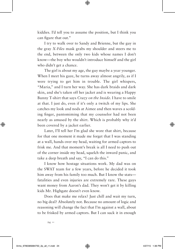kiddies. I'd tell you to assume the position, but I think you can figure that out."

I try to walk over to Sandy and Brienne, but the guy in the gray *X-Files* mask grabs my shoulder and steers me to the end, between the only two kids whose names I don't know—the boy who wouldn't introduce himself and the girl who didn't get a chance.

The girl is about my age, the guy maybe a year younger. When I meet his gaze, he turns away almost angrily, as if I were trying to get him in trouble. The girl whispers, "Maria," and I turn her way. She has dark braids and dark skin, and she's taken off her jacket and is wearing a Happy Bunny T-shirt that says *Crazy on the Inside*. I have to smile at that. I just do, even if it's only a twitch of my lips. She catches my look and nods at Aimee and then waves a scolding finger, pantomiming that my counselor had not been nearly as amused by the shirt. Which is probably why it'd been covered by a jacket earlier.

Later, I'll tell her I'm glad she wore that shirt, because for that one moment it made me forget that I was standing at a wall, hands over my head, waiting for armed captors to frisk me. And that moment's break is all I need to push out of the corner inside my head, squelch the inward panic, and take a deep breath and say, "I can do this."

I know how hostage situations work. My dad was on the SWAT team for a few years, before he decided it took him away from his family too much. But I know the stats fatalities and even injuries are extremely rare. These guys want money from Aaron's dad. They won't get it by killing kids Mr. Highgate doesn't even know.

Does that make me relax? Just chill and wait my turn, no big deal? Absolutely not. Because no amount of logic and reasoning will change the fact that I'm against a wall, about to be frisked by armed captors. But I can suck it in enough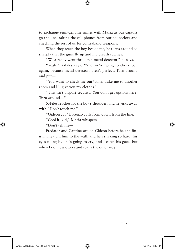to exchange semi-genuine smiles with Maria as our captors go the line, taking the cell phones from our counselors and checking the rest of us for contraband weapons.

When they reach the boy beside me, he turns around so sharply that the guns fly up and my breath catches.

"We already went through a metal detector," he says.

"Yeah," X-Files says. "And we're going to check you again, because metal detectors aren't perfect. Turn around and put—"

"You want to check me out? Fine. Take me to another room and I'll give you my clothes."

"This isn't airport security. You don't get options here. Turn around—"

X-Files reaches for the boy's shoulder, and he jerks away with "Don't touch me."

"Gideon . . ." Lorenzo calls from down from the line.

"Cool it, kid," Maria whispers.

"Don't tell me—"

Predator and Cantina are on Gideon before he can finish. They pin him to the wall, and he's shaking so hard, his eyes filling like he's going to cry, and I catch his gaze, but when I do, he glowers and turns the other way.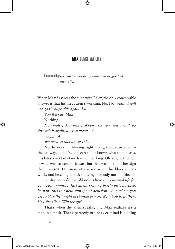## **MAX** CONCEIVARII ITY

Conceivability:*the capacity of being imagined or grasped mentally.*

When Max first sees the alien with Riley, the only conceivable answer is that his meds aren't working. No. Not again. *I will not go through this again. I'll—*

*You'll what, Max?*

Nothing*.*

*No, really, Maximus. When you say you won't go through it again, do you mean—?*

Bugger off.

*We need to talk about this.*

No, he doesn't. Moving right along, there's an alien in the hallway, and he's quite certain he knows what that means. His latest cocktail of meds is not working. Oh, yes, he thought it was. Was so certain it was, but that was just another sign that it wasn't. Delusions of a world where his bloody meds work, and he can get back to living a bloody normal life.

*Ha-ha. Very funny, old boy. There is no normal life for you. Not anymore. Just aliens holding pretty girls hostage. Perhaps this is a new subtype of delusion—one where you get to play the knight in shining armor. Well, hop to it, then. Slay the alien. Win the girl.*

That's when the alien speaks, and Max realizes it's a man in a mask. That a perfectly ordinary criminal is holding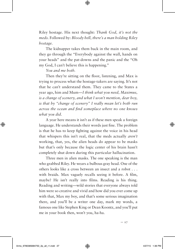Riley hostage. His next thought: *Thank God, it's not the meds*. Followed by: *Bloody hell, there's a man holding Riley hostage*.

The kidnapper takes them back in the main room, and they go through the "Everybody against the wall, hands on your heads" and the pat-downs and the panic and the "Oh my God, I can't believe this is happening."

*You and me both.*

Then they're sitting on the floor, listening, and Max is trying to process what the hostage-takers are saying. It's not that he can't understand them. They came to the States a year ago, him and Mum—*I think what you need, Maximus, is a change of scenery, and what I won't mention, dear boy, is that by "change of scenery" I really mean let's both run across the ocean and find someplace where no one knows what you did*.

A year here means it isn't as if these men speak a foreign language. He understands their words just fine. The problem is that he has to keep fighting against the voice in his head that whispers this isn't real, that the meds actually *aren't* working, that, yes, the alien heads do appear to be masks but that's only because the logic center of his brain hasn't completely shut down during this particular hallucination.

Three men in alien masks. The one speaking is the man who grabbed Riley. He wears a bulbous gray head. One of the others looks like a cross between an insect and a robot . . . with braids. Max vaguely recalls seeing it before. A film, maybe? He isn't really into films. Reading is his thing. Reading and writing—wild stories that everyone always told him were so creative and vivid and how did you ever come up with that, Max my boy, and that's some serious imagination there, and you'll be a writer one day, mark my words, a famous one like Stephen King or Dean Koontz, and you'll put me in your book then, won't you, ha-ha.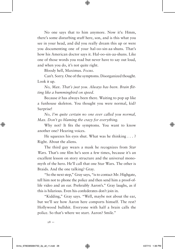No one says that to him anymore. Now it's: Hmm, there's some disturbing stuff here, son, and is this what you see in your head, and did you really dream this up or were you documenting one of your hal-oo-sin-aa-shuns. That's how his American doctor says it. Hal-oo-sin-aa-shuns. Like one of those words you read but never have to say out loud, and when you do, it's not quite right.

Bloody hell, Maximus. *Focus*.

Can't. Sorry. One of the symptoms. Disorganized thought. Look it up.

*No, Max. That's just you. Always has been. Brain flitting like a hummingbird on speed.*

Because *it* has always been there. Waiting to pop up like a funhouse skeleton. You thought you were normal, kid? Surprise!

*No, I'm quite certain no one ever called you normal, Max. Don't go blaming the crazy for everything.*

Why not? It fits the symptoms. You want to know another one? Hearing voices.

He squeezes his eyes shut. What was he thinking . . . ? Right. About the aliens.

The third guy wears a mask he recognizes from *Star Wars*. That's one film he's seen a few times, because it's an excellent lesson on story structure and the universal monomyth of the hero. He'll call that one Star Wars. The other is Braids. And the one talking? Gray.

"So the next step," Gray says, "is to contact Mr. Highgate, tell him not to phone the police and then send him a proof-oflife video and an ear. Preferably Aaron's." Gray laughs, as if this is hilarious. Even his confederates don't join in.

"Kidding," Gray says. "Well, maybe not about the ear, but we'll see how Aaron here comports himself. The rest? Hollywood bullshit. Everyone with half a brain calls the police. So that's where we start. Aaron? Smile."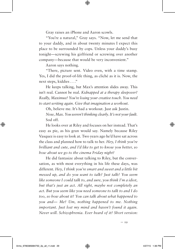Gray raises an iPhone and Aaron scowls.

"You're a natural," Gray says. "Now, let me send that to your daddy, and in about twenty minutes I expect this place to be surrounded by cops. Unless your daddy's busy tonight—screwing his girlfriend or screwing over another company—because that would be very inconvenient."

Aaron says nothing.

"There, picture sent. Video even, with a time stamp. Yes, I did the proof-of-life thing, as cliché as it is. Now, the next steps, kiddies . . ."

He keeps talking, but Max's attention slides away. This isn't real. Cannot be real. *Kidnapped at a therapy sleepover? Really, Maximus? You're losing your creative touch. You need to start writing again. Give that imagination a workout.*

Oh, believe me. It's had a workout. Just ask Justin.

*Now, Max. You weren't thinking clearly. It's not your fault.* Sod off.

He looks over at Riley and focuses on her instead. That's easy as pie, as his gran would say. Namely because Riley Vasquez is easy to look at. Two years ago he'd have sat across the class and planned how to talk to her. *Hey, I think you're brilliant and cute, and I'd like to get to know you better, so how about we go to the cinema Friday night?* 

He did fantasize about talking to Riley, but the conversation, as with most everything in his life these days, was different. *Hey, I think you're smart and sweet and a little bit messed up, and do you want to talk? Just talk? You seem like someone I could talk to, and sure, you think I'm a idiot, but that's just an act. All right, maybe not completely an act. But you seem like you need someone to talk to and I do too, so how about it? You can talk about what happened to you and— Me? Um, nothing happened to me. Nothing important. Just lost my mind and haven't found it again. Never will. Schizophrenia. Ever heard of it? Short version:*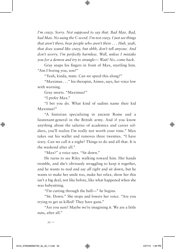*I'm crazy. Sorry. Not supposed to say that. Bad Max. Bad, bad Max. No using the C-word. I'm not crazy. I just see things that aren't there, hear people who aren't there . . . Huh, yeah, that does sound like crazy, but shhh, don't tell anyone. And don't worry. I'm perfectly harmless. Well, unless I mistake you for a demon and try to strangle— Wait! No, come back.* 

Gray snaps his fingers in front of Max, startling him. "Am I boring you, son?"

"Yeah, kinda, mate. Can we speed this along?"

"Maximus . . ." his therapist, Aimee, says, her voice low with warning.

Gray snorts. "Maximus?"

"I prefer Max."

"I bet you do. What kind of sadists name their kid Maximus?"

"A historian specializing in ancient Rome and a lieutenant-general in the British army. And if you know anything about the salaries of academics and career soldiers, you'll realize I'm really not worth your time." Max takes out his wallet and removes three twenties. "I have sixty. Can we call it a night? Things to do and all that. It is the weekend after all."

"Max?" a voice says. "Sit down."

He turns to see Riley walking toward him. Her hands tremble, and she's obviously struggling to keep it together, and he wants to nod and say *all right* and sit down, but he wants to make her smile too, make her relax, show her this isn't a big deal, not like before, like what happened when she was babysitting.

"I'm cutting through the bull—" he begins.

"Sit. Down." She stops and lowers her voice. "Are you trying to get us killed? They have guns."

"Are you sure? Maybe we're imagining it. We are a little nuts, after all."